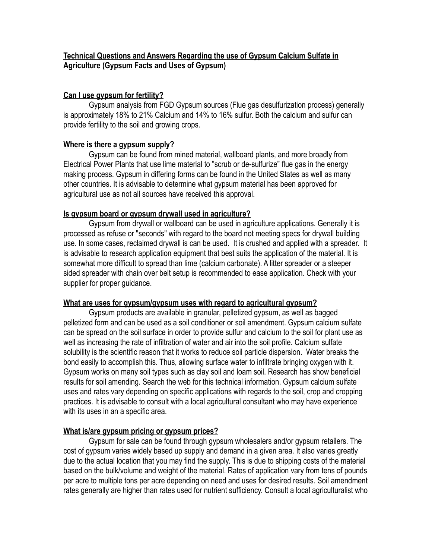### **Technical Questions and Answers Regarding the use of Gypsum Calcium Sulfate in Agriculture (Gypsum Facts and Uses of Gypsum)**

### **Can I use gypsum for fertility?**

 Gypsum analysis from FGD Gypsum sources (Flue gas desulfurization process) generally is approximately 18% to 21% Calcium and 14% to 16% sulfur. Both the calcium and sulfur can provide fertility to the soil and growing crops.

## **Where is there a gypsum supply?**

 Gypsum can be found from mined material, wallboard plants, and more broadly from Electrical Power Plants that use lime material to "scrub or de-sulfurize" flue gas in the energy making process. Gypsum in differing forms can be found in the United States as well as many other countries. It is advisable to determine what gypsum material has been approved for agricultural use as not all sources have received this approval.

## **Is gypsum board or gypsum drywall used in agriculture?**

 Gypsum from drywall or wallboard can be used in agriculture applications. Generally it is processed as refuse or "seconds" with regard to the board not meeting specs for drywall building use. In some cases, reclaimed drywall is can be used. It is crushed and applied with a spreader. It is advisable to research application equipment that best suits the application of the material. It is somewhat more difficult to spread than lime (calcium carbonate). A litter spreader or a steeper sided spreader with chain over belt setup is recommended to ease application. Check with your supplier for proper guidance.

### **What are uses for gypsum/gypsum uses with regard to agricultural gypsum?**

 Gypsum products are available in granular, pelletized gypsum, as well as bagged pelletized form and can be used as a soil conditioner or soil amendment. Gypsum calcium sulfate can be spread on the soil surface in order to provide sulfur and calcium to the soil for plant use as well as increasing the rate of infiltration of water and air into the soil profile. Calcium sulfate solubility is the scientific reason that it works to reduce soil particle dispersion. Water breaks the bond easily to accomplish this. Thus, allowing surface water to infiltrate bringing oxygen with it. Gypsum works on many soil types such as clay soil and loam soil. Research has show beneficial results for soil amending. Search the web for this technical information. Gypsum calcium sulfate uses and rates vary depending on specific applications with regards to the soil, crop and cropping practices. It is advisable to consult with a local agricultural consultant who may have experience with its uses in an a specific area.

# **What is/are gypsum pricing or gypsum prices?**

 Gypsum for sale can be found through gypsum wholesalers and/or gypsum retailers. The cost of gypsum varies widely based up supply and demand in a given area. It also varies greatly due to the actual location that you may find the supply. This is due to shipping costs of the material based on the bulk/volume and weight of the material. Rates of application vary from tens of pounds per acre to multiple tons per acre depending on need and uses for desired results. Soil amendment rates generally are higher than rates used for nutrient sufficiency. Consult a local agriculturalist who